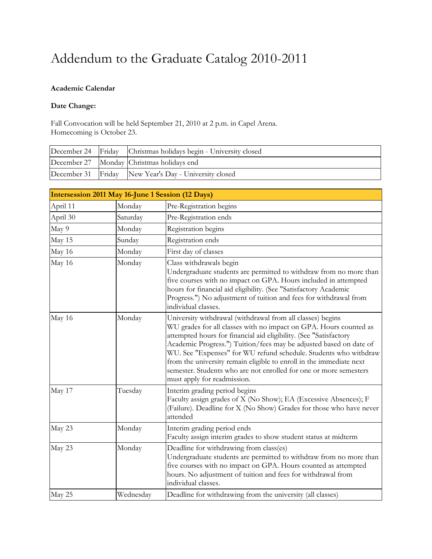## Addendum to the Graduate Catalog 2010-2011

## **Academic Calendar**

## **Date Change:**

Fall Convocation will be held September 21, 2010 at 2 p.m. in Capel Arena. Homecoming is October 23.

|  | December 24 Friday Christmas holidays begin - University closed |
|--|-----------------------------------------------------------------|
|  | December 27 Monday Christmas holidays end                       |
|  | December 31 Friday New Year's Day - University closed           |

| Intersession 2011 May 16-June 1 Session (12 Days) |           |                                                                                                                                                                                                                                                                                                                                                                                                                                                                                                                           |
|---------------------------------------------------|-----------|---------------------------------------------------------------------------------------------------------------------------------------------------------------------------------------------------------------------------------------------------------------------------------------------------------------------------------------------------------------------------------------------------------------------------------------------------------------------------------------------------------------------------|
| April 11                                          | Monday    | Pre-Registration begins                                                                                                                                                                                                                                                                                                                                                                                                                                                                                                   |
| April 30                                          | Saturday  | Pre-Registration ends                                                                                                                                                                                                                                                                                                                                                                                                                                                                                                     |
| May 9                                             | Monday    | Registration begins                                                                                                                                                                                                                                                                                                                                                                                                                                                                                                       |
| May 15                                            | Sunday    | Registration ends                                                                                                                                                                                                                                                                                                                                                                                                                                                                                                         |
| May 16                                            | Monday    | First day of classes                                                                                                                                                                                                                                                                                                                                                                                                                                                                                                      |
| May 16                                            | Monday    | Class withdrawals begin<br>Undergraduate students are permitted to withdraw from no more than<br>five courses with no impact on GPA. Hours included in attempted<br>hours for financial aid eligibility. (See "Satisfactory Academic<br>Progress.") No adjustment of tuition and fees for withdrawal from<br>individual classes.                                                                                                                                                                                          |
| May 16                                            | Monday    | University withdrawal (withdrawal from all classes) begins<br>WU grades for all classes with no impact on GPA. Hours counted as<br>attempted hours for financial aid eligibility. (See "Satisfactory<br>Academic Progress.") Tuition/fees may be adjusted based on date of<br>WU. See "Expenses" for WU refund schedule. Students who withdraw<br>from the university remain eligible to enroll in the immediate next<br>semester. Students who are not enrolled for one or more semesters<br>must apply for readmission. |
| May 17                                            | Tuesday   | Interim grading period begins<br>Faculty assign grades of X (No Show); EA (Excessive Absences); F<br>(Failure). Deadline for X (No Show) Grades for those who have never<br>attended                                                                                                                                                                                                                                                                                                                                      |
| May 23                                            | Monday    | Interim grading period ends<br>Faculty assign interim grades to show student status at midterm                                                                                                                                                                                                                                                                                                                                                                                                                            |
| May 23                                            | Monday    | Deadline for withdrawing from class(es)<br>Undergraduate students are permitted to withdraw from no more than<br>five courses with no impact on GPA. Hours counted as attempted<br>hours. No adjustment of tuition and fees for withdrawal from<br>individual classes.                                                                                                                                                                                                                                                    |
| May 25                                            | Wednesday | Deadline for withdrawing from the university (all classes)                                                                                                                                                                                                                                                                                                                                                                                                                                                                |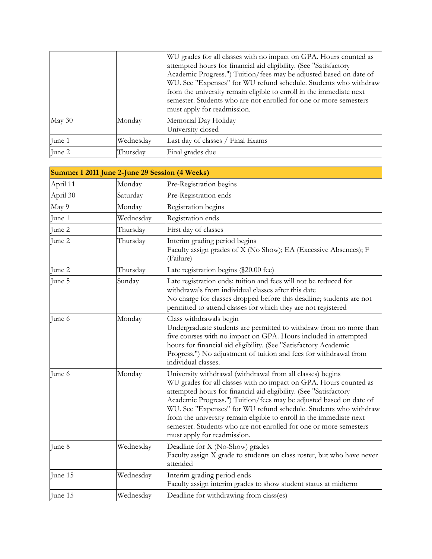|        |           | WU grades for all classes with no impact on GPA. Hours counted as<br>attempted hours for financial aid eligibility. (See "Satisfactory<br>Academic Progress.") Tuition/fees may be adjusted based on date of<br>WU. See "Expenses" for WU refund schedule. Students who withdraw<br>from the university remain eligible to enroll in the immediate next<br>semester. Students who are not enrolled for one or more semesters<br>must apply for readmission. |
|--------|-----------|-------------------------------------------------------------------------------------------------------------------------------------------------------------------------------------------------------------------------------------------------------------------------------------------------------------------------------------------------------------------------------------------------------------------------------------------------------------|
| May 30 | Monday    | Memorial Day Holiday<br>University closed                                                                                                                                                                                                                                                                                                                                                                                                                   |
| June 1 | Wednesday | Last day of classes / Final Exams                                                                                                                                                                                                                                                                                                                                                                                                                           |
| June 2 | Thursday  | Final grades due                                                                                                                                                                                                                                                                                                                                                                                                                                            |

| Summer I 2011 June 2-June 29 Session (4 Weeks) |           |                                                                                                                                                                                                                                                                                                                                                                                                                                                                                                                           |  |
|------------------------------------------------|-----------|---------------------------------------------------------------------------------------------------------------------------------------------------------------------------------------------------------------------------------------------------------------------------------------------------------------------------------------------------------------------------------------------------------------------------------------------------------------------------------------------------------------------------|--|
| April 11                                       | Monday    | Pre-Registration begins                                                                                                                                                                                                                                                                                                                                                                                                                                                                                                   |  |
| April 30                                       | Saturday  | Pre-Registration ends                                                                                                                                                                                                                                                                                                                                                                                                                                                                                                     |  |
| May 9                                          | Monday    | Registration begins                                                                                                                                                                                                                                                                                                                                                                                                                                                                                                       |  |
| June 1                                         | Wednesday | Registration ends                                                                                                                                                                                                                                                                                                                                                                                                                                                                                                         |  |
| June 2                                         | Thursday  | First day of classes                                                                                                                                                                                                                                                                                                                                                                                                                                                                                                      |  |
| June 2                                         | Thursday  | Interim grading period begins<br>Faculty assign grades of X (No Show); EA (Excessive Absences); F<br>(Failure)                                                                                                                                                                                                                                                                                                                                                                                                            |  |
| June 2                                         | Thursday  | Late registration begins (\$20.00 fee)                                                                                                                                                                                                                                                                                                                                                                                                                                                                                    |  |
| June 5                                         | Sunday    | Late registration ends; tuition and fees will not be reduced for<br>withdrawals from individual classes after this date<br>No charge for classes dropped before this deadline; students are not<br>permitted to attend classes for which they are not registered                                                                                                                                                                                                                                                          |  |
| June 6                                         | Monday    | Class withdrawals begin<br>Undergraduate students are permitted to withdraw from no more than<br>five courses with no impact on GPA. Hours included in attempted<br>hours for financial aid eligibility. (See "Satisfactory Academic<br>Progress.") No adjustment of tuition and fees for withdrawal from<br>individual classes.                                                                                                                                                                                          |  |
| June 6                                         | Monday    | University withdrawal (withdrawal from all classes) begins<br>WU grades for all classes with no impact on GPA. Hours counted as<br>attempted hours for financial aid eligibility. (See "Satisfactory<br>Academic Progress.") Tuition/fees may be adjusted based on date of<br>WU. See "Expenses" for WU refund schedule. Students who withdraw<br>from the university remain eligible to enroll in the immediate next<br>semester. Students who are not enrolled for one or more semesters<br>must apply for readmission. |  |
| June 8                                         | Wednesday | Deadline for X (No-Show) grades<br>Faculty assign X grade to students on class roster, but who have never<br>attended                                                                                                                                                                                                                                                                                                                                                                                                     |  |
| June 15                                        | Wednesday | Interim grading period ends<br>Faculty assign interim grades to show student status at midterm                                                                                                                                                                                                                                                                                                                                                                                                                            |  |
| June 15                                        | Wednesday | Deadline for withdrawing from class(es)                                                                                                                                                                                                                                                                                                                                                                                                                                                                                   |  |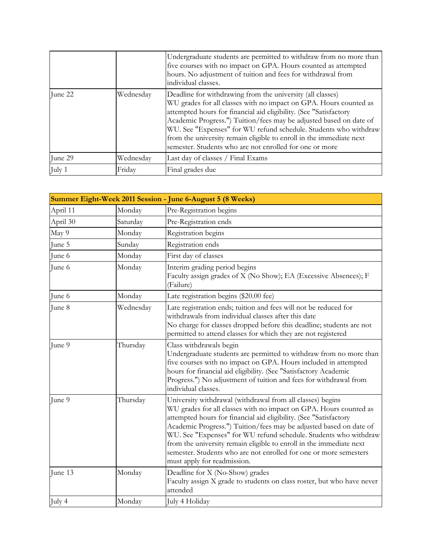|         |           | Undergraduate students are permitted to withdraw from no more than<br>five courses with no impact on GPA. Hours counted as attempted<br>hours. No adjustment of tuition and fees for withdrawal from<br>individual classes.                                                                                                                                                                                                                                                      |
|---------|-----------|----------------------------------------------------------------------------------------------------------------------------------------------------------------------------------------------------------------------------------------------------------------------------------------------------------------------------------------------------------------------------------------------------------------------------------------------------------------------------------|
| June 22 | Wednesday | Deadline for withdrawing from the university (all classes)<br>WU grades for all classes with no impact on GPA. Hours counted as<br>attempted hours for financial aid eligibility. (See "Satisfactory<br>Academic Progress.") Tuition/fees may be adjusted based on date of<br>WU. See "Expenses" for WU refund schedule. Students who withdraw<br>from the university remain eligible to enroll in the immediate next<br>semester. Students who are not enrolled for one or more |
| June 29 | Wednesday | Last day of classes / Final Exams                                                                                                                                                                                                                                                                                                                                                                                                                                                |
| July 1  | Friday    | Final grades due                                                                                                                                                                                                                                                                                                                                                                                                                                                                 |

| Summer Eight-Week 2011 Session - June 6-August 5 (8 Weeks) |           |                                                                                                                                                                                                                                                                                                                                                                                                                                                                                                                           |  |
|------------------------------------------------------------|-----------|---------------------------------------------------------------------------------------------------------------------------------------------------------------------------------------------------------------------------------------------------------------------------------------------------------------------------------------------------------------------------------------------------------------------------------------------------------------------------------------------------------------------------|--|
| April 11                                                   | Monday    | Pre-Registration begins                                                                                                                                                                                                                                                                                                                                                                                                                                                                                                   |  |
| April 30                                                   | Saturday  | Pre-Registration ends                                                                                                                                                                                                                                                                                                                                                                                                                                                                                                     |  |
| May 9                                                      | Monday    | Registration begins                                                                                                                                                                                                                                                                                                                                                                                                                                                                                                       |  |
| June 5                                                     | Sunday    | Registration ends                                                                                                                                                                                                                                                                                                                                                                                                                                                                                                         |  |
| June 6                                                     | Monday    | First day of classes                                                                                                                                                                                                                                                                                                                                                                                                                                                                                                      |  |
| June 6                                                     | Monday    | Interim grading period begins<br>Faculty assign grades of X (No Show); EA (Excessive Absences); F<br>(Failure)                                                                                                                                                                                                                                                                                                                                                                                                            |  |
| June 6                                                     | Monday    | Late registration begins (\$20.00 fee)                                                                                                                                                                                                                                                                                                                                                                                                                                                                                    |  |
| June 8                                                     | Wednesday | Late registration ends; tuition and fees will not be reduced for<br>withdrawals from individual classes after this date<br>No charge for classes dropped before this deadline; students are not<br>permitted to attend classes for which they are not registered                                                                                                                                                                                                                                                          |  |
| June 9                                                     | Thursday  | Class withdrawals begin<br>Undergraduate students are permitted to withdraw from no more than<br>five courses with no impact on GPA. Hours included in attempted<br>hours for financial aid eligibility. (See "Satisfactory Academic<br>Progress.") No adjustment of tuition and fees for withdrawal from<br>individual classes.                                                                                                                                                                                          |  |
| June 9                                                     | Thursday  | University withdrawal (withdrawal from all classes) begins<br>WU grades for all classes with no impact on GPA. Hours counted as<br>attempted hours for financial aid eligibility. (See "Satisfactory<br>Academic Progress.") Tuition/fees may be adjusted based on date of<br>WU. See "Expenses" for WU refund schedule. Students who withdraw<br>from the university remain eligible to enroll in the immediate next<br>semester. Students who are not enrolled for one or more semesters<br>must apply for readmission. |  |
| June 13                                                    | Monday    | Deadline for X (No-Show) grades<br>Faculty assign X grade to students on class roster, but who have never<br>attended                                                                                                                                                                                                                                                                                                                                                                                                     |  |
| July 4                                                     | Monday    | July 4 Holiday                                                                                                                                                                                                                                                                                                                                                                                                                                                                                                            |  |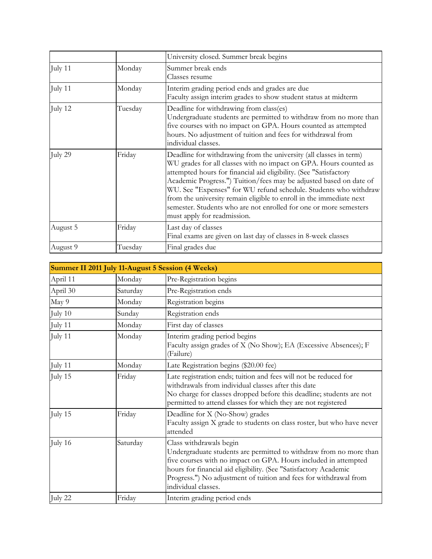|          |         | University closed. Summer break begins                                                                                                                                                                                                                                                                                                                                                                                                                                                                                            |
|----------|---------|-----------------------------------------------------------------------------------------------------------------------------------------------------------------------------------------------------------------------------------------------------------------------------------------------------------------------------------------------------------------------------------------------------------------------------------------------------------------------------------------------------------------------------------|
| July 11  | Monday  | Summer break ends<br>Classes resume                                                                                                                                                                                                                                                                                                                                                                                                                                                                                               |
| July 11  | Monday  | Interim grading period ends and grades are due<br>Faculty assign interim grades to show student status at midterm                                                                                                                                                                                                                                                                                                                                                                                                                 |
| July 12  | Tuesday | Deadline for withdrawing from class(es)<br>Undergraduate students are permitted to withdraw from no more than<br>five courses with no impact on GPA. Hours counted as attempted<br>hours. No adjustment of tuition and fees for withdrawal from<br>individual classes.                                                                                                                                                                                                                                                            |
| July 29  | Friday  | Deadline for withdrawing from the university (all classes in term)<br>WU grades for all classes with no impact on GPA. Hours counted as<br>attempted hours for financial aid eligibility. (See "Satisfactory<br>Academic Progress.") Tuition/fees may be adjusted based on date of<br>WU. See "Expenses" for WU refund schedule. Students who withdraw<br>from the university remain eligible to enroll in the immediate next<br>semester. Students who are not enrolled for one or more semesters<br>must apply for readmission. |
| August 5 | Friday  | Last day of classes<br>Final exams are given on last day of classes in 8-week classes                                                                                                                                                                                                                                                                                                                                                                                                                                             |
| August 9 | Tuesday | Final grades due                                                                                                                                                                                                                                                                                                                                                                                                                                                                                                                  |

| Summer II 2011 July 11-August 5 Session (4 Weeks) |          |                                                                                                                                                                                                                                                                                                                                  |
|---------------------------------------------------|----------|----------------------------------------------------------------------------------------------------------------------------------------------------------------------------------------------------------------------------------------------------------------------------------------------------------------------------------|
| April 11                                          | Monday   | Pre-Registration begins                                                                                                                                                                                                                                                                                                          |
| April 30                                          | Saturday | Pre-Registration ends                                                                                                                                                                                                                                                                                                            |
| May 9                                             | Monday   | Registration begins                                                                                                                                                                                                                                                                                                              |
| July 10                                           | Sunday   | Registration ends                                                                                                                                                                                                                                                                                                                |
| July 11                                           | Monday   | First day of classes                                                                                                                                                                                                                                                                                                             |
| July 11                                           | Monday   | Interim grading period begins<br>Faculty assign grades of X (No Show); EA (Excessive Absences); F<br>(Failure)                                                                                                                                                                                                                   |
| July 11                                           | Monday   | Late Registration begins (\$20.00 fee)                                                                                                                                                                                                                                                                                           |
| July 15                                           | Friday   | Late registration ends; tuition and fees will not be reduced for<br>withdrawals from individual classes after this date<br>No charge for classes dropped before this deadline; students are not<br>permitted to attend classes for which they are not registered                                                                 |
| July 15                                           | Friday   | Deadline for X (No-Show) grades<br>Faculty assign X grade to students on class roster, but who have never<br>attended                                                                                                                                                                                                            |
| July 16                                           | Saturday | Class withdrawals begin<br>Undergraduate students are permitted to withdraw from no more than<br>five courses with no impact on GPA. Hours included in attempted<br>hours for financial aid eligibility. (See "Satisfactory Academic<br>Progress.") No adjustment of tuition and fees for withdrawal from<br>individual classes. |
| July 22                                           | Friday   | Interim grading period ends                                                                                                                                                                                                                                                                                                      |